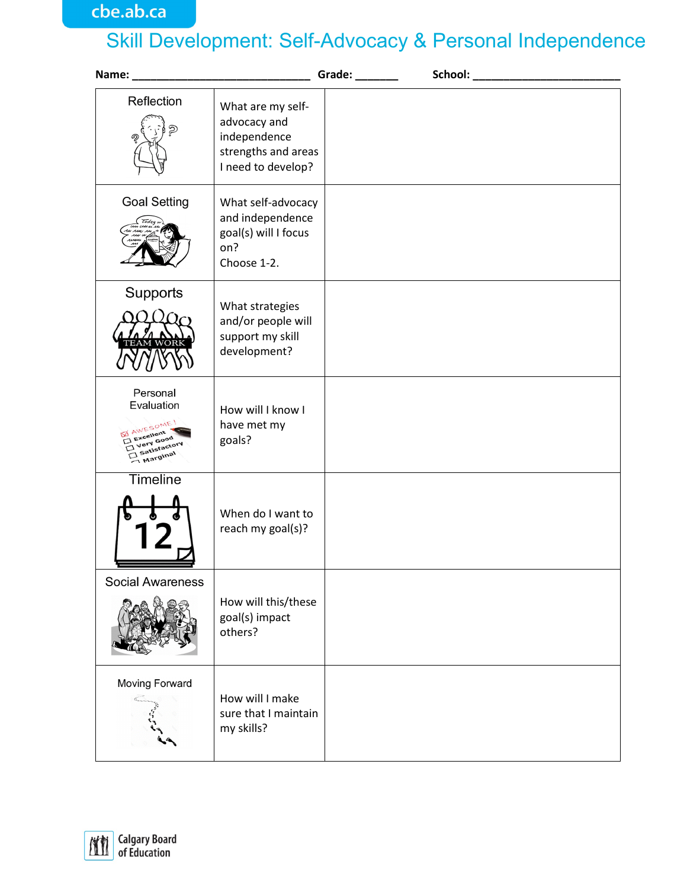## Skill Development: Self-Advocacy & Personal Independence

|                                                                                                  |                                                                                                | Grade: ______ | School: _______________________ |
|--------------------------------------------------------------------------------------------------|------------------------------------------------------------------------------------------------|---------------|---------------------------------|
| Reflection<br>ත                                                                                  | What are my self-<br>advocacy and<br>independence<br>strengths and areas<br>I need to develop? |               |                                 |
| <b>Goal Setting</b><br><i>Today</i>                                                              | What self-advocacy<br>and independence<br>goal(s) will I focus<br>on?<br>Choose 1-2.           |               |                                 |
| Supports                                                                                         | What strategies<br>and/or people will<br>support my skill<br>development?                      |               |                                 |
| Personal<br>Evaluation<br><b>MAWESOME!</b><br>Excellent<br>Very Good<br>Satisfactory<br>Marginal | How will I know I<br>have met my<br>goals?                                                     |               |                                 |
| Timeline                                                                                         | When do I want to<br>reach my goal(s)?                                                         |               |                                 |
| <b>Social Awareness</b>                                                                          | How will this/these<br>goal(s) impact<br>others?                                               |               |                                 |
| Moving Forward                                                                                   | How will I make<br>sure that I maintain<br>my skills?                                          |               |                                 |